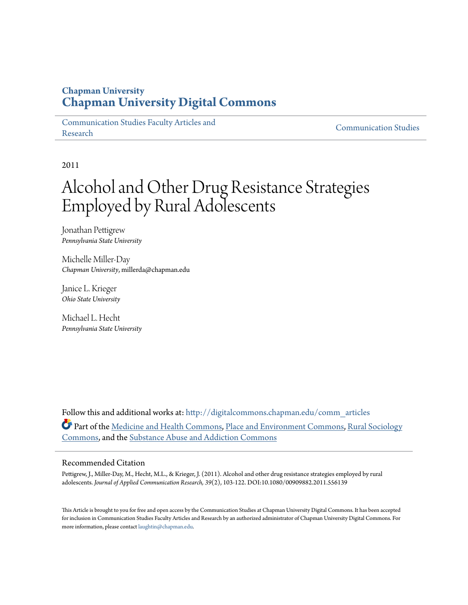## **Chapman University [Chapman University Digital Commons](http://digitalcommons.chapman.edu?utm_source=digitalcommons.chapman.edu%2Fcomm_articles%2F11&utm_medium=PDF&utm_campaign=PDFCoverPages)**

[Communication Studies Faculty Articles and](http://digitalcommons.chapman.edu/comm_articles?utm_source=digitalcommons.chapman.edu%2Fcomm_articles%2F11&utm_medium=PDF&utm_campaign=PDFCoverPages) [Research](http://digitalcommons.chapman.edu/comm_articles?utm_source=digitalcommons.chapman.edu%2Fcomm_articles%2F11&utm_medium=PDF&utm_campaign=PDFCoverPages) [Communication Studies](http://digitalcommons.chapman.edu/communication?utm_source=digitalcommons.chapman.edu%2Fcomm_articles%2F11&utm_medium=PDF&utm_campaign=PDFCoverPages)

2011

# Alcohol and Other Drug Resistance Strategies Employed by Rural Adolescents

Jonathan Pettigrew *Pennsylvania State University*

Michelle Miller-Day *Chapman University*, millerda@chapman.edu

Janice L. Krieger *Ohio State University*

Michael L. Hecht *Pennsylvania State University*

Follow this and additional works at: [http://digitalcommons.chapman.edu/comm\\_articles](http://digitalcommons.chapman.edu/comm_articles?utm_source=digitalcommons.chapman.edu%2Fcomm_articles%2F11&utm_medium=PDF&utm_campaign=PDFCoverPages) Part of the [Medicine and Health Commons](http://network.bepress.com/hgg/discipline/422?utm_source=digitalcommons.chapman.edu%2Fcomm_articles%2F11&utm_medium=PDF&utm_campaign=PDFCoverPages), [Place and Environment Commons](http://network.bepress.com/hgg/discipline/424?utm_source=digitalcommons.chapman.edu%2Fcomm_articles%2F11&utm_medium=PDF&utm_campaign=PDFCoverPages), [Rural Sociology](http://network.bepress.com/hgg/discipline/428?utm_source=digitalcommons.chapman.edu%2Fcomm_articles%2F11&utm_medium=PDF&utm_campaign=PDFCoverPages) [Commons,](http://network.bepress.com/hgg/discipline/428?utm_source=digitalcommons.chapman.edu%2Fcomm_articles%2F11&utm_medium=PDF&utm_campaign=PDFCoverPages) and the [Substance Abuse and Addiction Commons](http://network.bepress.com/hgg/discipline/710?utm_source=digitalcommons.chapman.edu%2Fcomm_articles%2F11&utm_medium=PDF&utm_campaign=PDFCoverPages)

## Recommended Citation

Pettigrew, J., Miller-Day, M., Hecht, M.L., & Krieger, J. (2011). Alcohol and other drug resistance strategies employed by rural adolescents. *Journal of Applied Communication Research, 39*(2), 103-122. DOI:10.1080/00909882.2011.556139

This Article is brought to you for free and open access by the Communication Studies at Chapman University Digital Commons. It has been accepted for inclusion in Communication Studies Faculty Articles and Research by an authorized administrator of Chapman University Digital Commons. For more information, please contact [laughtin@chapman.edu](mailto:laughtin@chapman.edu).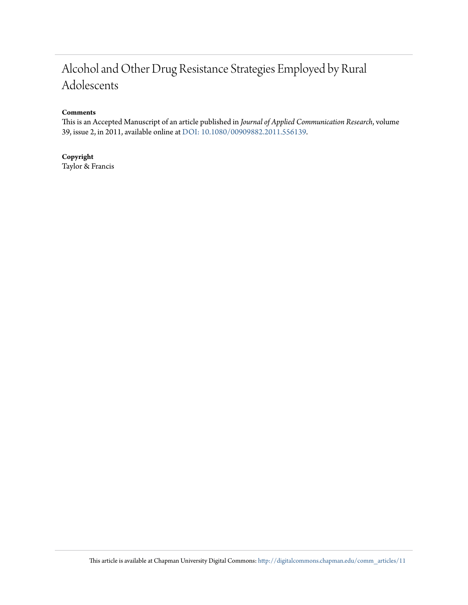## Alcohol and Other Drug Resistance Strategies Employed by Rural Adolescents

## **Comments**

This is an Accepted Manuscript of an article published in *Journal of Applied Communication Research*, volume 39, issue 2, in 2011, available online at [DOI: 10.1080/00909882.2011.556139.](http://www.dx.doi.org/10.1080/00909882.2011.556139)

## **Copyright**

Taylor & Francis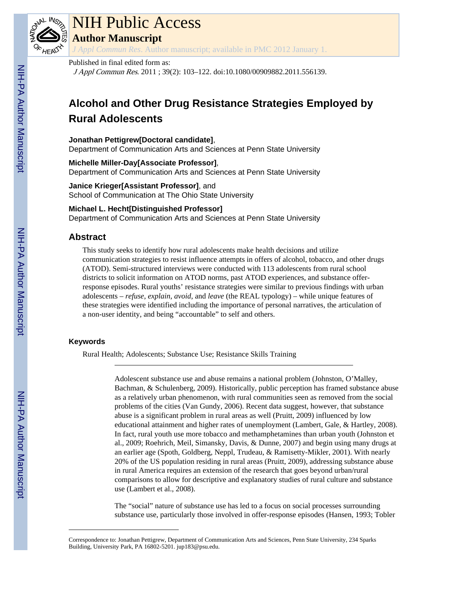

## NIH Public Access

**Author Manuscript**

*J Appl Commun Res*. Author manuscript; available in PMC 2012 January 1.

## Published in final edited form as:

J Appl Commun Res. 2011 ; 39(2): 103–122. doi:10.1080/00909882.2011.556139.

## **Alcohol and Other Drug Resistance Strategies Employed by Rural Adolescents**

## **Jonathan Pettigrew[Doctoral candidate]**,

Department of Communication Arts and Sciences at Penn State University

**Michelle Miller-Day[Associate Professor]**, Department of Communication Arts and Sciences at Penn State University

**Janice Krieger[Assistant Professor]**, and School of Communication at The Ohio State University

## **Michael L. Hecht[Distinguished Professor]** Department of Communication Arts and Sciences at Penn State University

## **Abstract**

This study seeks to identify how rural adolescents make health decisions and utilize communication strategies to resist influence attempts in offers of alcohol, tobacco, and other drugs (ATOD). Semi-structured interviews were conducted with 113 adolescents from rural school districts to solicit information on ATOD norms, past ATOD experiences, and substance offerresponse episodes. Rural youths' resistance strategies were similar to previous findings with urban adolescents – *refuse*, *explain*, *avoid*, and *leave* (the REAL typology) – while unique features of these strategies were identified including the importance of personal narratives, the articulation of a non-user identity, and being "accountable" to self and others.

## **Keywords**

Rural Health; Adolescents; Substance Use; Resistance Skills Training

Adolescent substance use and abuse remains a national problem (Johnston, O'Malley, Bachman, & Schulenberg, 2009). Historically, public perception has framed substance abuse as a relatively urban phenomenon, with rural communities seen as removed from the social problems of the cities (Van Gundy, 2006). Recent data suggest, however, that substance abuse is a significant problem in rural areas as well (Pruitt, 2009) influenced by low educational attainment and higher rates of unemployment (Lambert, Gale, & Hartley, 2008). In fact, rural youth use more tobacco and methamphetamines than urban youth (Johnston et al., 2009; Roehrich, Meil, Simansky, Davis, & Dunne, 2007) and begin using many drugs at an earlier age (Spoth, Goldberg, Neppl, Trudeau, & Ramisetty-Mikler, 2001). With nearly 20% of the US population residing in rural areas (Pruitt, 2009), addressing substance abuse in rural America requires an extension of the research that goes beyond urban/rural comparisons to allow for descriptive and explanatory studies of rural culture and substance use (Lambert et al., 2008).

The "social" nature of substance use has led to a focus on social processes surrounding substance use, particularly those involved in offer-response episodes (Hansen, 1993; Tobler

Correspondence to: Jonathan Pettigrew, Department of Communication Arts and Sciences, Penn State University, 234 Sparks Building, University Park, PA 16802-5201. jup183@psu.edu.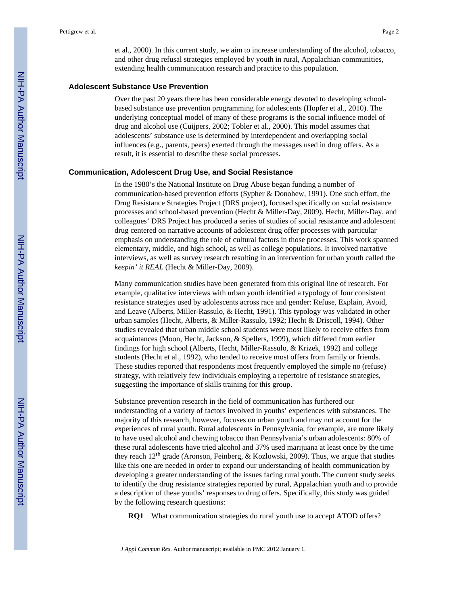et al., 2000). In this current study, we aim to increase understanding of the alcohol, tobacco, and other drug refusal strategies employed by youth in rural, Appalachian communities, extending health communication research and practice to this population.

#### **Adolescent Substance Use Prevention**

Over the past 20 years there has been considerable energy devoted to developing schoolbased substance use prevention programming for adolescents (Hopfer et al., 2010). The underlying conceptual model of many of these programs is the social influence model of drug and alcohol use (Cuijpers, 2002; Tobler et al., 2000). This model assumes that adolescents' substance use is determined by interdependent and overlapping social influences (e.g., parents, peers) exerted through the messages used in drug offers. As a result, it is essential to describe these social processes.

#### **Communication, Adolescent Drug Use, and Social Resistance**

In the 1980's the National Institute on Drug Abuse began funding a number of communication-based prevention efforts (Sypher & Donohew, 1991). One such effort, the Drug Resistance Strategies Project (DRS project), focused specifically on social resistance processes and school-based prevention (Hecht & Miller-Day, 2009). Hecht, Miller-Day, and colleagues' DRS Project has produced a series of studies of social resistance and adolescent drug centered on narrative accounts of adolescent drug offer processes with particular emphasis on understanding the role of cultural factors in those processes. This work spanned elementary, middle, and high school, as well as college populations. It involved narrative interviews, as well as survey research resulting in an intervention for urban youth called the *keepin' it REAL* (Hecht & Miller-Day, 2009).

Many communication studies have been generated from this original line of research. For example, qualitative interviews with urban youth identified a typology of four consistent resistance strategies used by adolescents across race and gender: Refuse, Explain, Avoid, and Leave (Alberts, Miller-Rassulo, & Hecht, 1991). This typology was validated in other urban samples (Hecht, Alberts, & Miller-Rassulo, 1992; Hecht & Driscoll, 1994). Other studies revealed that urban middle school students were most likely to receive offers from acquaintances (Moon, Hecht, Jackson, & Spellers, 1999), which differed from earlier findings for high school (Alberts, Hecht, Miller-Rassulo, & Krizek, 1992) and college students (Hecht et al., 1992), who tended to receive most offers from family or friends. These studies reported that respondents most frequently employed the simple no (refuse) strategy, with relatively few individuals employing a repertoire of resistance strategies, suggesting the importance of skills training for this group.

Substance prevention research in the field of communication has furthered our understanding of a variety of factors involved in youths' experiences with substances. The majority of this research, however, focuses on urban youth and may not account for the experiences of rural youth. Rural adolescents in Pennsylvania, for example, are more likely to have used alcohol and chewing tobacco than Pennsylvania's urban adolescents: 80% of these rural adolescents have tried alcohol and 37% used marijuana at least once by the time they reach  $12<sup>th</sup>$  grade (Aronson, Feinberg, & Kozlowski, 2009). Thus, we argue that studies like this one are needed in order to expand our understanding of health communication by developing a greater understanding of the issues facing rural youth. The current study seeks to identify the drug resistance strategies reported by rural, Appalachian youth and to provide a description of these youths' responses to drug offers. Specifically, this study was guided by the following research questions:

**RQ1** What communication strategies do rural youth use to accept ATOD offers?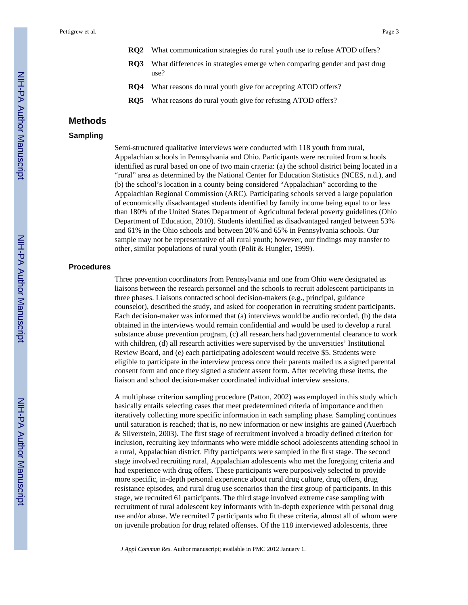Pettigrew et al. Page 3

- **RQ2** What communication strategies do rural youth use to refuse ATOD offers?
- **RQ3** What differences in strategies emerge when comparing gender and past drug use?
- **RQ4** What reasons do rural youth give for accepting ATOD offers?
- **RQ5** What reasons do rural youth give for refusing ATOD offers?

## **Methods**

## **Sampling**

Semi-structured qualitative interviews were conducted with 118 youth from rural, Appalachian schools in Pennsylvania and Ohio. Participants were recruited from schools identified as rural based on one of two main criteria: (a) the school district being located in a "rural" area as determined by the National Center for Education Statistics (NCES, n.d.), and (b) the school's location in a county being considered "Appalachian" according to the Appalachian Regional Commission (ARC). Participating schools served a large population of economically disadvantaged students identified by family income being equal to or less than 180% of the United States Department of Agricultural federal poverty guidelines (Ohio Department of Education, 2010). Students identified as disadvantaged ranged between 53% and 61% in the Ohio schools and between 20% and 65% in Pennsylvania schools. Our sample may not be representative of all rural youth; however, our findings may transfer to other, similar populations of rural youth (Polit & Hungler, 1999).

#### **Procedures**

Three prevention coordinators from Pennsylvania and one from Ohio were designated as liaisons between the research personnel and the schools to recruit adolescent participants in three phases. Liaisons contacted school decision-makers (e.g., principal, guidance counselor), described the study, and asked for cooperation in recruiting student participants. Each decision-maker was informed that (a) interviews would be audio recorded, (b) the data obtained in the interviews would remain confidential and would be used to develop a rural substance abuse prevention program, (c) all researchers had governmental clearance to work with children, (d) all research activities were supervised by the universities' Institutional Review Board, and (e) each participating adolescent would receive \$5. Students were eligible to participate in the interview process once their parents mailed us a signed parental consent form and once they signed a student assent form. After receiving these items, the liaison and school decision-maker coordinated individual interview sessions.

A multiphase criterion sampling procedure (Patton, 2002) was employed in this study which basically entails selecting cases that meet predetermined criteria of importance and then iteratively collecting more specific information in each sampling phase. Sampling continues until saturation is reached; that is, no new information or new insights are gained (Auerbach & Silverstein, 2003). The first stage of recruitment involved a broadly defined criterion for inclusion, recruiting key informants who were middle school adolescents attending school in a rural, Appalachian district. Fifty participants were sampled in the first stage. The second stage involved recruiting rural, Appalachian adolescents who met the foregoing criteria and had experience with drug offers. These participants were purposively selected to provide more specific, in-depth personal experience about rural drug culture, drug offers, drug resistance episodes, and rural drug use scenarios than the first group of participants. In this stage, we recruited 61 participants. The third stage involved extreme case sampling with recruitment of rural adolescent key informants with in-depth experience with personal drug use and/or abuse. We recruited 7 participants who fit these criteria, almost all of whom were on juvenile probation for drug related offenses. Of the 118 interviewed adolescents, three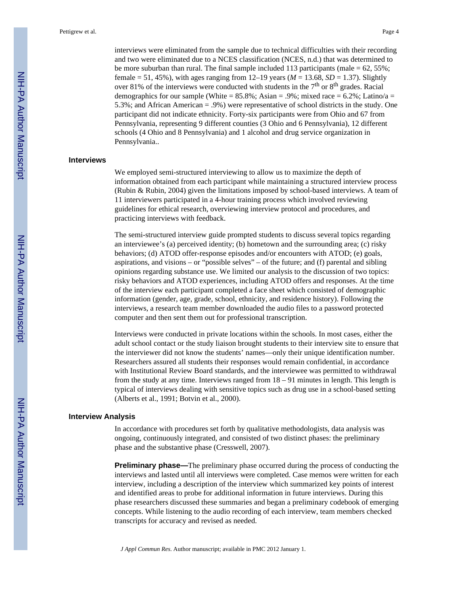interviews were eliminated from the sample due to technical difficulties with their recording and two were eliminated due to a NCES classification (NCES, n.d.) that was determined to be more suburban than rural. The final sample included 113 participants (male =  $62,55\%$ ; female = 51, 45%), with ages ranging from 12–19 years (*M* = 13.68, *SD* = 1.37). Slightly over 81% of the interviews were conducted with students in the  $7<sup>th</sup>$  or  $8<sup>th</sup>$  grades. Racial demographics for our sample (White =  $85.8\%$ ; Asian = .9%; mixed race =  $6.2\%$ ; Latino/a = 5.3%; and African American = .9%) were representative of school districts in the study. One participant did not indicate ethnicity. Forty-six participants were from Ohio and 67 from Pennsylvania, representing 9 different counties (3 Ohio and 6 Pennsylvania), 12 different schools (4 Ohio and 8 Pennsylvania) and 1 alcohol and drug service organization in Pennsylvania..

#### **Interviews**

We employed semi-structured interviewing to allow us to maximize the depth of information obtained from each participant while maintaining a structured interview process (Rubin & Rubin, 2004) given the limitations imposed by school-based interviews. A team of 11 interviewers participated in a 4-hour training process which involved reviewing guidelines for ethical research, overviewing interview protocol and procedures, and practicing interviews with feedback.

The semi-structured interview guide prompted students to discuss several topics regarding an interviewee's (a) perceived identity; (b) hometown and the surrounding area; (c) risky behaviors; (d) ATOD offer-response episodes and/or encounters with ATOD; (e) goals, aspirations, and visions – or "possible selves" – of the future; and  $(f)$  parental and sibling opinions regarding substance use. We limited our analysis to the discussion of two topics: risky behaviors and ATOD experiences, including ATOD offers and responses. At the time of the interview each participant completed a face sheet which consisted of demographic information (gender, age, grade, school, ethnicity, and residence history). Following the interviews, a research team member downloaded the audio files to a password protected computer and then sent them out for professional transcription.

Interviews were conducted in private locations within the schools. In most cases, either the adult school contact or the study liaison brought students to their interview site to ensure that the interviewer did not know the students' names—only their unique identification number. Researchers assured all students their responses would remain confidential, in accordance with Institutional Review Board standards, and the interviewee was permitted to withdrawal from the study at any time. Interviews ranged from 18 – 91 minutes in length. This length is typical of interviews dealing with sensitive topics such as drug use in a school-based setting (Alberts et al., 1991; Botvin et al., 2000).

#### **Interview Analysis**

In accordance with procedures set forth by qualitative methodologists, data analysis was ongoing, continuously integrated, and consisted of two distinct phases: the preliminary phase and the substantive phase (Cresswell, 2007).

**Preliminary phase—**The preliminary phase occurred during the process of conducting the interviews and lasted until all interviews were completed. Case memos were written for each interview, including a description of the interview which summarized key points of interest and identified areas to probe for additional information in future interviews. During this phase researchers discussed these summaries and began a preliminary codebook of emerging concepts. While listening to the audio recording of each interview, team members checked transcripts for accuracy and revised as needed.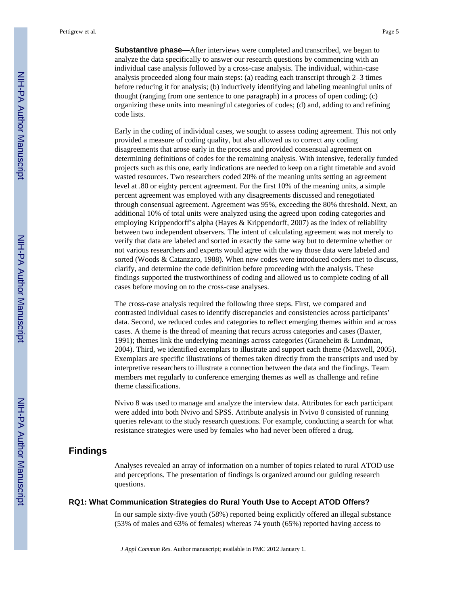**Substantive phase—**After interviews were completed and transcribed, we began to analyze the data specifically to answer our research questions by commencing with an individual case analysis followed by a cross-case analysis. The individual, within-case analysis proceeded along four main steps: (a) reading each transcript through 2–3 times before reducing it for analysis; (b) inductively identifying and labeling meaningful units of thought (ranging from one sentence to one paragraph) in a process of open coding; (c) organizing these units into meaningful categories of codes; (d) and, adding to and refining code lists.

Early in the coding of individual cases, we sought to assess coding agreement. This not only provided a measure of coding quality, but also allowed us to correct any coding disagreements that arose early in the process and provided consensual agreement on determining definitions of codes for the remaining analysis. With intensive, federally funded projects such as this one, early indications are needed to keep on a tight timetable and avoid wasted resources. Two researchers coded 20% of the meaning units setting an agreement level at .80 or eighty percent agreement. For the first 10% of the meaning units, a simple percent agreement was employed with any disagreements discussed and renegotiated through consensual agreement. Agreement was 95%, exceeding the 80% threshold. Next, an additional 10% of total units were analyzed using the agreed upon coding categories and employing Krippendorff's alpha (Hayes & Krippendorff, 2007) as the index of reliability between two independent observers. The intent of calculating agreement was not merely to verify that data are labeled and sorted in exactly the same way but to determine whether or not various researchers and experts would agree with the way those data were labeled and sorted (Woods & Catanzaro, 1988). When new codes were introduced coders met to discuss, clarify, and determine the code definition before proceeding with the analysis. These findings supported the trustworthiness of coding and allowed us to complete coding of all cases before moving on to the cross-case analyses.

The cross-case analysis required the following three steps. First, we compared and contrasted individual cases to identify discrepancies and consistencies across participants' data. Second, we reduced codes and categories to reflect emerging themes within and across cases. A theme is the thread of meaning that recurs across categories and cases (Baxter, 1991); themes link the underlying meanings across categories (Graneheim & Lundman, 2004). Third, we identified exemplars to illustrate and support each theme (Maxwell, 2005). Exemplars are specific illustrations of themes taken directly from the transcripts and used by interpretive researchers to illustrate a connection between the data and the findings. Team members met regularly to conference emerging themes as well as challenge and refine theme classifications.

Nvivo 8 was used to manage and analyze the interview data. Attributes for each participant were added into both Nvivo and SPSS. Attribute analysis in Nvivo 8 consisted of running queries relevant to the study research questions. For example, conducting a search for what resistance strategies were used by females who had never been offered a drug.

## **Findings**

Analyses revealed an array of information on a number of topics related to rural ATOD use and perceptions. The presentation of findings is organized around our guiding research questions.

#### **RQ1: What Communication Strategies do Rural Youth Use to Accept ATOD Offers?**

In our sample sixty-five youth (58%) reported being explicitly offered an illegal substance (53% of males and 63% of females) whereas 74 youth (65%) reported having access to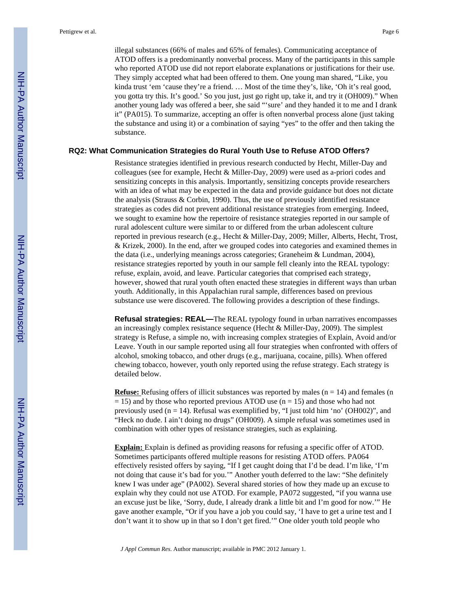illegal substances (66% of males and 65% of females). Communicating acceptance of ATOD offers is a predominantly nonverbal process. Many of the participants in this sample who reported ATOD use did not report elaborate explanations or justifications for their use. They simply accepted what had been offered to them. One young man shared, "Like, you kinda trust 'em 'cause they're a friend. … Most of the time they's, like, 'Oh it's real good, you gotta try this. It's good.' So you just, just go right up, take it, and try it (OH009)." When another young lady was offered a beer, she said "'sure' and they handed it to me and I drank it" (PA015). To summarize, accepting an offer is often nonverbal process alone (just taking the substance and using it) or a combination of saying "yes" to the offer and then taking the substance.

#### **RQ2: What Communication Strategies do Rural Youth Use to Refuse ATOD Offers?**

Resistance strategies identified in previous research conducted by Hecht, Miller-Day and colleagues (see for example, Hecht & Miller-Day, 2009) were used as a-priori codes and sensitizing concepts in this analysis. Importantly, sensitizing concepts provide researchers with an idea of what may be expected in the data and provide guidance but does not dictate the analysis (Strauss & Corbin, 1990). Thus, the use of previously identified resistance strategies as codes did not prevent additional resistance strategies from emerging. Indeed, we sought to examine how the repertoire of resistance strategies reported in our sample of rural adolescent culture were similar to or differed from the urban adolescent culture reported in previous research (e.g., Hecht & Miller-Day, 2009; Miller, Alberts, Hecht, Trost, & Krizek, 2000). In the end, after we grouped codes into categories and examined themes in the data (i.e., underlying meanings across categories; Graneheim & Lundman, 2004), resistance strategies reported by youth in our sample fell cleanly into the REAL typology: refuse, explain, avoid, and leave. Particular categories that comprised each strategy, however, showed that rural youth often enacted these strategies in different ways than urban youth. Additionally, in this Appalachian rural sample, differences based on previous substance use were discovered. The following provides a description of these findings.

**Refusal strategies: REAL—**The REAL typology found in urban narratives encompasses an increasingly complex resistance sequence (Hecht & Miller-Day, 2009). The simplest strategy is Refuse, a simple no, with increasing complex strategies of Explain, Avoid and/or Leave. Youth in our sample reported using all four strategies when confronted with offers of alcohol, smoking tobacco, and other drugs (e.g., marijuana, cocaine, pills). When offered chewing tobacco, however, youth only reported using the refuse strategy. Each strategy is detailed below.

**Refuse:** Refusing offers of illicit substances was reported by males ( $n = 14$ ) and females ( $n = 14$ )  $= 15$ ) and by those who reported previous ATOD use (n = 15) and those who had not previously used ( $n = 14$ ). Refusal was exemplified by, "I just told him 'no' (OH002)", and "Heck no dude. I ain't doing no drugs" (OH009). A simple refusal was sometimes used in combination with other types of resistance strategies, such as explaining.

**Explain:** Explain is defined as providing reasons for refusing a specific offer of ATOD. Sometimes participants offered multiple reasons for resisting ATOD offers. PA064 effectively resisted offers by saying, "If I get caught doing that I'd be dead. I'm like, 'I'm not doing that cause it's bad for you.'" Another youth deferred to the law: "She definitely knew I was under age" (PA002). Several shared stories of how they made up an excuse to explain why they could not use ATOD. For example, PA072 suggested, "if you wanna use an excuse just be like, 'Sorry, dude, I already drank a little bit and I'm good for now.'" He gave another example, "Or if you have a job you could say, 'I have to get a urine test and I don't want it to show up in that so I don't get fired.'" One older youth told people who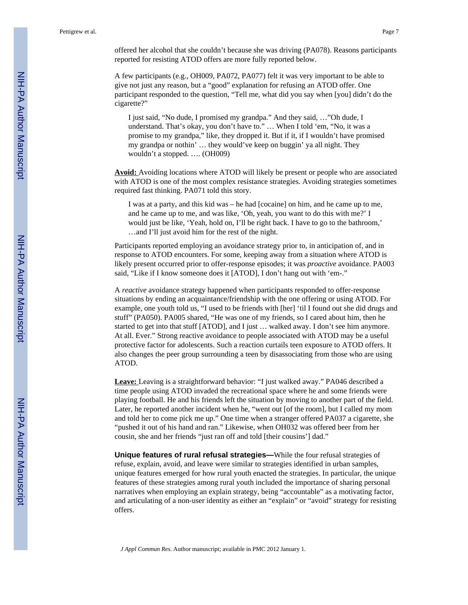A few participants (e.g., OH009, PA072, PA077) felt it was very important to be able to give not just any reason, but a "good" explanation for refusing an ATOD offer. One participant responded to the question, "Tell me, what did you say when [you] didn't do the cigarette?"

I just said, "No dude, I promised my grandpa." And they said, …"Oh dude, I understand. That's okay, you don't have to." … When I told 'em, "No, it was a promise to my grandpa," like, they dropped it. But if it, if I wouldn't have promised my grandpa or nothin' … they would've keep on buggin' ya all night. They wouldn't a stopped. …. (OH009)

**Avoid:** Avoiding locations where ATOD will likely be present or people who are associated with ATOD is one of the most complex resistance strategies. Avoiding strategies sometimes required fast thinking. PA071 told this story.

I was at a party, and this kid was – he had [cocaine] on him, and he came up to me, and he came up to me, and was like, 'Oh, yeah, you want to do this with me?' I would just be like, 'Yeah, hold on, I'll be right back. I have to go to the bathroom,' …and I'll just avoid him for the rest of the night.

Participants reported employing an avoidance strategy prior to, in anticipation of, and in response to ATOD encounters. For some, keeping away from a situation where ATOD is likely present occurred prior to offer-response episodes; it was *proactive* avoidance. PA003 said, "Like if I know someone does it [ATOD], I don't hang out with 'em-."

A *reactive* avoidance strategy happened when participants responded to offer-response situations by ending an acquaintance/friendship with the one offering or using ATOD. For example, one youth told us, "I used to be friends with [her] 'til I found out she did drugs and stuff" (PA050). PA005 shared, "He was one of my friends, so I cared about him, then he started to get into that stuff [ATOD], and I just … walked away. I don't see him anymore. At all. Ever." Strong reactive avoidance to people associated with ATOD may be a useful protective factor for adolescents. Such a reaction curtails teen exposure to ATOD offers. It also changes the peer group surrounding a teen by disassociating from those who are using ATOD.

**Leave:** Leaving is a straightforward behavior: "I just walked away." PA046 described a time people using ATOD invaded the recreational space where he and some friends were playing football. He and his friends left the situation by moving to another part of the field. Later, he reported another incident when he, "went out [of the room], but I called my mom and told her to come pick me up." One time when a stranger offered PA037 a cigarette, she "pushed it out of his hand and ran." Likewise, when OH032 was offered beer from her cousin, she and her friends "just ran off and told [their cousins'] dad."

**Unique features of rural refusal strategies—**While the four refusal strategies of refuse, explain, avoid, and leave were similar to strategies identified in urban samples, unique features emerged for how rural youth enacted the strategies. In particular, the unique features of these strategies among rural youth included the importance of sharing personal narratives when employing an explain strategy, being "accountable" as a motivating factor, and articulating of a non-user identity as either an "explain" or "avoid" strategy for resisting offers.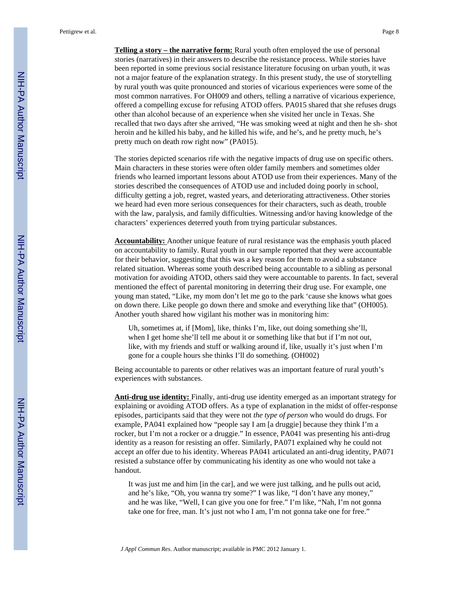Pettigrew et al. Page 8

**Telling a story – the narrative form:** Rural youth often employed the use of personal stories (narratives) in their answers to describe the resistance process. While stories have been reported in some previous social resistance literature focusing on urban youth, it was not a major feature of the explanation strategy. In this present study, the use of storytelling by rural youth was quite pronounced and stories of vicarious experiences were some of the most common narratives. For OH009 and others, telling a narrative of vicarious experience, offered a compelling excuse for refusing ATOD offers. PA015 shared that she refuses drugs other than alcohol because of an experience when she visited her uncle in Texas. She recalled that two days after she arrived, "He was smoking weed at night and then he sh- shot heroin and he killed his baby, and he killed his wife, and he's, and he pretty much, he's pretty much on death row right now" (PA015).

The stories depicted scenarios rife with the negative impacts of drug use on specific others. Main characters in these stories were often older family members and sometimes older friends who learned important lessons about ATOD use from their experiences. Many of the stories described the consequences of ATOD use and included doing poorly in school, difficulty getting a job, regret, wasted years, and deteriorating attractiveness. Other stories we heard had even more serious consequences for their characters, such as death, trouble with the law, paralysis, and family difficulties. Witnessing and/or having knowledge of the characters' experiences deterred youth from trying particular substances.

**Accountability:** Another unique feature of rural resistance was the emphasis youth placed on accountability to family. Rural youth in our sample reported that they were accountable for their behavior, suggesting that this was a key reason for them to avoid a substance related situation. Whereas some youth described being accountable to a sibling as personal motivation for avoiding ATOD, others said they were accountable to parents. In fact, several mentioned the effect of parental monitoring in deterring their drug use. For example, one young man stated, "Like, my mom don't let me go to the park 'cause she knows what goes on down there. Like people go down there and smoke and everything like that" (OH005). Another youth shared how vigilant his mother was in monitoring him:

Uh, sometimes at, if [Mom], like, thinks I'm, like, out doing something she'll, when I get home she'll tell me about it or something like that but if I'm not out, like, with my friends and stuff or walking around if, like, usually it's just when I'm gone for a couple hours she thinks I'll do something. (OH002)

Being accountable to parents or other relatives was an important feature of rural youth's experiences with substances.

**Anti-drug use identity:** Finally, anti-drug use identity emerged as an important strategy for explaining or avoiding ATOD offers. As a type of explanation in the midst of offer-response episodes, participants said that they were not *the type of person* who would do drugs. For example, PA041 explained how "people say I am [a druggie] because they think I'm a rocker, but I'm not a rocker or a druggie." In essence, PA041 was presenting his anti-drug identity as a reason for resisting an offer. Similarly, PA071 explained why he could not accept an offer due to his identity. Whereas PA041 articulated an anti-drug identity, PA071 resisted a substance offer by communicating his identity as one who would not take a handout.

It was just me and him [in the car], and we were just talking, and he pulls out acid, and he's like, "Oh, you wanna try some?" I was like, "I don't have any money," and he was like, "Well, I can give you one for free." I'm like, "Nah, I'm not gonna take one for free, man. It's just not who I am, I'm not gonna take one for free."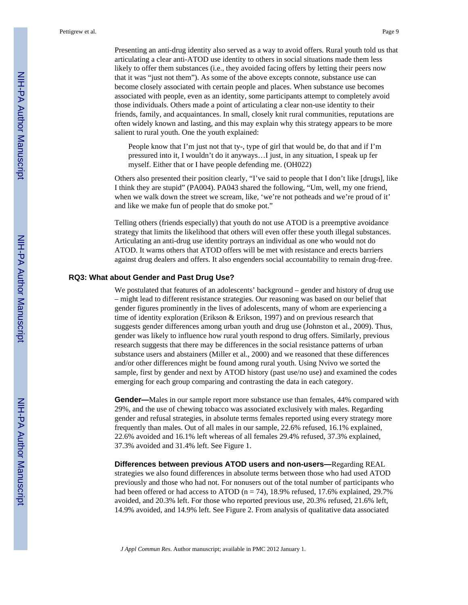Presenting an anti-drug identity also served as a way to avoid offers. Rural youth told us that articulating a clear anti-ATOD use identity to others in social situations made them less likely to offer them substances (i.e., they avoided facing offers by letting their peers now that it was "just not them"). As some of the above excepts connote, substance use can become closely associated with certain people and places. When substance use becomes associated with people, even as an identity, some participants attempt to completely avoid those individuals. Others made a point of articulating a clear non-use identity to their friends, family, and acquaintances. In small, closely knit rural communities, reputations are often widely known and lasting, and this may explain why this strategy appears to be more salient to rural youth. One the youth explained:

People know that I'm just not that ty-, type of girl that would be, do that and if I'm pressured into it, I wouldn't do it anyways…I just, in any situation, I speak up fer myself. Either that or I have people defending me. (OH022)

Others also presented their position clearly, "I've said to people that I don't like [drugs], like I think they are stupid" (PA004). PA043 shared the following, "Um, well, my one friend, when we walk down the street we scream, like, 'we're not potheads and we're proud of it' and like we make fun of people that do smoke pot."

Telling others (friends especially) that youth do not use ATOD is a preemptive avoidance strategy that limits the likelihood that others will even offer these youth illegal substances. Articulating an anti-drug use identity portrays an individual as one who would not do ATOD. It warns others that ATOD offers will be met with resistance and erects barriers against drug dealers and offers. It also engenders social accountability to remain drug-free.

### **RQ3: What about Gender and Past Drug Use?**

We postulated that features of an adolescents' background – gender and history of drug use – might lead to different resistance strategies. Our reasoning was based on our belief that gender figures prominently in the lives of adolescents, many of whom are experiencing a time of identity exploration (Erikson & Erikson, 1997) and on previous research that suggests gender differences among urban youth and drug use (Johnston et al., 2009). Thus, gender was likely to influence how rural youth respond to drug offers. Similarly, previous research suggests that there may be differences in the social resistance patterns of urban substance users and abstainers (Miller et al., 2000) and we reasoned that these differences and/or other differences might be found among rural youth. Using Nvivo we sorted the sample, first by gender and next by ATOD history (past use/no use) and examined the codes emerging for each group comparing and contrasting the data in each category.

**Gender—**Males in our sample report more substance use than females, 44% compared with 29%, and the use of chewing tobacco was associated exclusively with males. Regarding gender and refusal strategies, in absolute terms females reported using every strategy more frequently than males. Out of all males in our sample, 22.6% refused, 16.1% explained, 22.6% avoided and 16.1% left whereas of all females 29.4% refused, 37.3% explained, 37.3% avoided and 31.4% left. See Figure 1.

**Differences between previous ATOD users and non-users—**Regarding REAL strategies we also found differences in absolute terms between those who had used ATOD previously and those who had not. For nonusers out of the total number of participants who had been offered or had access to ATOD ( $n = 74$ ), 18.9% refused, 17.6% explained, 29.7% avoided, and 20.3% left. For those who reported previous use, 20.3% refused, 21.6% left, 14.9% avoided, and 14.9% left. See Figure 2. From analysis of qualitative data associated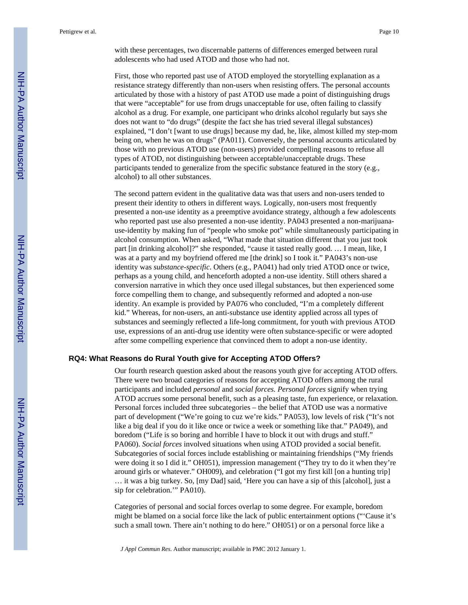with these percentages, two discernable patterns of differences emerged between rural adolescents who had used ATOD and those who had not.

First, those who reported past use of ATOD employed the storytelling explanation as a resistance strategy differently than non-users when resisting offers. The personal accounts articulated by those with a history of past ATOD use made a point of distinguishing drugs that were "acceptable" for use from drugs unacceptable for use, often failing to classify alcohol as a drug. For example, one participant who drinks alcohol regularly but says she does not want to "do drugs" (despite the fact she has tried several illegal substances) explained, "I don't [want to use drugs] because my dad, he, like, almost killed my step-mom being on, when he was on drugs" (PA011). Conversely, the personal accounts articulated by those with no previous ATOD use (non-users) provided compelling reasons to refuse all types of ATOD, not distinguishing between acceptable/unacceptable drugs. These participants tended to generalize from the specific substance featured in the story (e.g., alcohol) to all other substances.

The second pattern evident in the qualitative data was that users and non-users tended to present their identity to others in different ways. Logically, non-users most frequently presented a non-use identity as a preemptive avoidance strategy, although a few adolescents who reported past use also presented a non-use identity. PA043 presented a non-marijuanause-identity by making fun of "people who smoke pot" while simultaneously participating in alcohol consumption. When asked, "What made that situation different that you just took part [in drinking alcohol]?" she responded, "cause it tasted really good. … I mean, like, I was at a party and my boyfriend offered me [the drink] so I took it." PA043's non-use identity was *substance-specific*. Others (e.g., PA041) had only tried ATOD once or twice, perhaps as a young child, and henceforth adopted a non-use identity. Still others shared a conversion narrative in which they once used illegal substances, but then experienced some force compelling them to change, and subsequently reformed and adopted a non-use identity. An example is provided by PA076 who concluded, "I'm a completely different kid." Whereas, for non-users, an anti-substance use identity applied across all types of substances and seemingly reflected a life-long commitment, for youth with previous ATOD use, expressions of an anti-drug use identity were often substance-specific or were adopted after some compelling experience that convinced them to adopt a non-use identity.

#### **RQ4: What Reasons do Rural Youth give for Accepting ATOD Offers?**

Our fourth research question asked about the reasons youth give for accepting ATOD offers. There were two broad categories of reasons for accepting ATOD offers among the rural participants and included *personal* and *social forces. Personal forces* signify when trying ATOD accrues some personal benefit, such as a pleasing taste, fun experience, or relaxation. Personal forces included three subcategories – the belief that ATOD use was a normative part of development ("We're going to cuz we're kids." PA053), low levels of risk ("It's not like a big deal if you do it like once or twice a week or something like that." PA049), and boredom ("Life is so boring and horrible I have to block it out with drugs and stuff." PA060). *Social forces* involved situations when using ATOD provided a social benefit. Subcategories of social forces include establishing or maintaining friendships ("My friends were doing it so I did it." OH051), impression management ("They try to do it when they're around girls or whatever." OH009), and celebration ("I got my first kill [on a hunting trip] … it was a big turkey. So, [my Dad] said, 'Here you can have a sip of this [alcohol], just a sip for celebration.'" PA010).

Categories of personal and social forces overlap to some degree. For example, boredom might be blamed on a social force like the lack of public entertainment options ("'Cause it's such a small town. There ain't nothing to do here." OH051) or on a personal force like a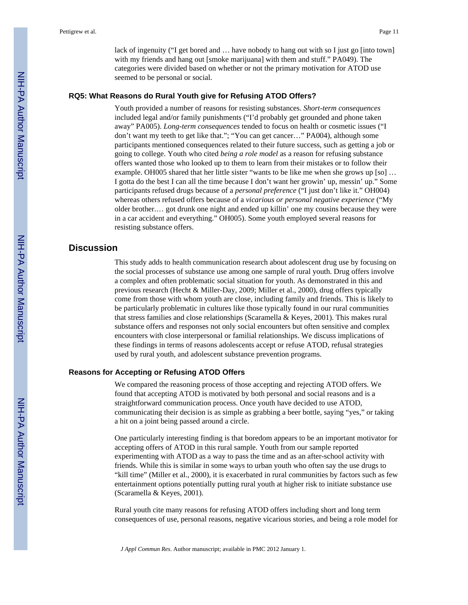lack of ingenuity ("I get bored and … have nobody to hang out with so I just go [into town] with my friends and hang out [smoke marijuana] with them and stuff." PA049). The categories were divided based on whether or not the primary motivation for ATOD use seemed to be personal or social.

#### **RQ5: What Reasons do Rural Youth give for Refusing ATOD Offers?**

Youth provided a number of reasons for resisting substances. *Short-term consequences* included legal and/or family punishments ("I'd probably get grounded and phone taken away" PA005). *Long-term consequences* tended to focus on health or cosmetic issues ("I don't want my teeth to get like that."; "You can get cancer…" PA004), although some participants mentioned consequences related to their future success, such as getting a job or going to college. Youth who cited *being a role model* as a reason for refusing substance offers wanted those who looked up to them to learn from their mistakes or to follow their example. OH005 shared that her little sister "wants to be like me when she grows up [so] ... I gotta do the best I can all the time because I don't want her growin' up, messin' up." Some participants refused drugs because of a *personal preference* ("I just don't like it." OH004) whereas others refused offers because of a *vicarious or personal negative experience* ("My older brother.… got drunk one night and ended up killin' one my cousins because they were in a car accident and everything." OH005). Some youth employed several reasons for resisting substance offers.

## **Discussion**

This study adds to health communication research about adolescent drug use by focusing on the social processes of substance use among one sample of rural youth. Drug offers involve a complex and often problematic social situation for youth. As demonstrated in this and previous research (Hecht & Miller-Day, 2009; Miller et al., 2000), drug offers typically come from those with whom youth are close, including family and friends. This is likely to be particularly problematic in cultures like those typically found in our rural communities that stress families and close relationships (Scaramella & Keyes, 2001). This makes rural substance offers and responses not only social encounters but often sensitive and complex encounters with close interpersonal or familial relationships. We discuss implications of these findings in terms of reasons adolescents accept or refuse ATOD, refusal strategies used by rural youth, and adolescent substance prevention programs.

#### **Reasons for Accepting or Refusing ATOD Offers**

We compared the reasoning process of those accepting and rejecting ATOD offers. We found that accepting ATOD is motivated by both personal and social reasons and is a straightforward communication process. Once youth have decided to use ATOD, communicating their decision is as simple as grabbing a beer bottle, saying "yes," or taking a hit on a joint being passed around a circle.

One particularly interesting finding is that boredom appears to be an important motivator for accepting offers of ATOD in this rural sample. Youth from our sample reported experimenting with ATOD as a way to pass the time and as an after-school activity with friends. While this is similar in some ways to urban youth who often say the use drugs to "kill time" (Miller et al., 2000), it is exacerbated in rural communities by factors such as few entertainment options potentially putting rural youth at higher risk to initiate substance use (Scaramella & Keyes, 2001).

Rural youth cite many reasons for refusing ATOD offers including short and long term consequences of use, personal reasons, negative vicarious stories, and being a role model for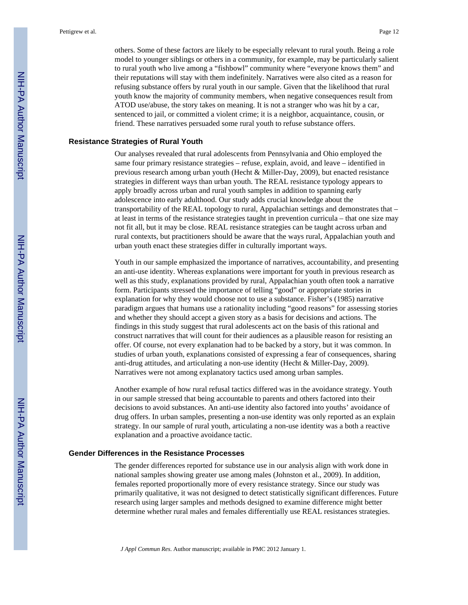others. Some of these factors are likely to be especially relevant to rural youth. Being a role model to younger siblings or others in a community, for example, may be particularly salient to rural youth who live among a "fishbowl" community where "everyone knows them" and their reputations will stay with them indefinitely. Narratives were also cited as a reason for refusing substance offers by rural youth in our sample. Given that the likelihood that rural youth know the majority of community members, when negative consequences result from ATOD use/abuse, the story takes on meaning. It is not a stranger who was hit by a car, sentenced to jail, or committed a violent crime; it is a neighbor, acquaintance, cousin, or friend. These narratives persuaded some rural youth to refuse substance offers.

#### **Resistance Strategies of Rural Youth**

Our analyses revealed that rural adolescents from Pennsylvania and Ohio employed the same four primary resistance strategies – refuse, explain, avoid, and leave – identified in previous research among urban youth (Hecht & Miller-Day, 2009), but enacted resistance strategies in different ways than urban youth. The REAL resistance typology appears to apply broadly across urban and rural youth samples in addition to spanning early adolescence into early adulthood. Our study adds crucial knowledge about the transportability of the REAL topology to rural, Appalachian settings and demonstrates that – at least in terms of the resistance strategies taught in prevention curricula – that one size may not fit all, but it may be close. REAL resistance strategies can be taught across urban and rural contexts, but practitioners should be aware that the ways rural, Appalachian youth and urban youth enact these strategies differ in culturally important ways.

Youth in our sample emphasized the importance of narratives, accountability, and presenting an anti-use identity. Whereas explanations were important for youth in previous research as well as this study, explanations provided by rural, Appalachian youth often took a narrative form. Participants stressed the importance of telling "good" or appropriate stories in explanation for why they would choose not to use a substance. Fisher's (1985) narrative paradigm argues that humans use a rationality including "good reasons" for assessing stories and whether they should accept a given story as a basis for decisions and actions. The findings in this study suggest that rural adolescents act on the basis of this rational and construct narratives that will count for their audiences as a plausible reason for resisting an offer. Of course, not every explanation had to be backed by a story, but it was common. In studies of urban youth, explanations consisted of expressing a fear of consequences, sharing anti-drug attitudes, and articulating a non-use identity (Hecht & Miller-Day, 2009). Narratives were not among explanatory tactics used among urban samples.

Another example of how rural refusal tactics differed was in the avoidance strategy. Youth in our sample stressed that being accountable to parents and others factored into their decisions to avoid substances. An anti-use identity also factored into youths' avoidance of drug offers. In urban samples, presenting a non-use identity was only reported as an explain strategy. In our sample of rural youth, articulating a non-use identity was a both a reactive explanation and a proactive avoidance tactic.

#### **Gender Differences in the Resistance Processes**

The gender differences reported for substance use in our analysis align with work done in national samples showing greater use among males (Johnston et al., 2009). In addition, females reported proportionally more of every resistance strategy. Since our study was primarily qualitative, it was not designed to detect statistically significant differences. Future research using larger samples and methods designed to examine difference might better determine whether rural males and females differentially use REAL resistances strategies.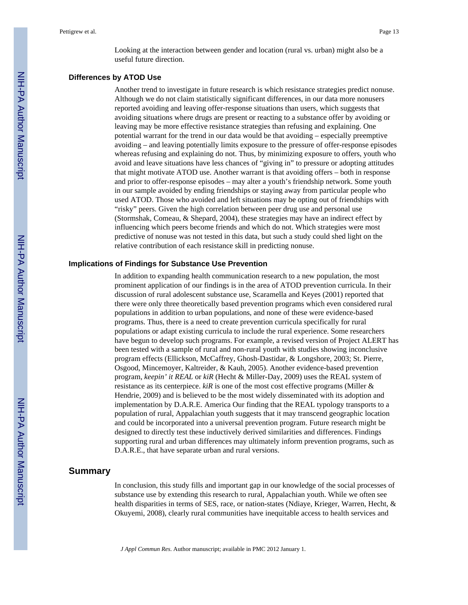Looking at the interaction between gender and location (rural vs. urban) might also be a useful future direction.

## **Differences by ATOD Use**

Another trend to investigate in future research is which resistance strategies predict nonuse. Although we do not claim statistically significant differences, in our data more nonusers reported avoiding and leaving offer-response situations than users, which suggests that avoiding situations where drugs are present or reacting to a substance offer by avoiding or leaving may be more effective resistance strategies than refusing and explaining. One potential warrant for the trend in our data would be that avoiding – especially preemptive avoiding – and leaving potentially limits exposure to the pressure of offer-response episodes whereas refusing and explaining do not. Thus, by minimizing exposure to offers, youth who avoid and leave situations have less chances of "giving in" to pressure or adopting attitudes that might motivate ATOD use. Another warrant is that avoiding offers – both in response and prior to offer-response episodes – may alter a youth's friendship network. Some youth in our sample avoided by ending friendships or staying away from particular people who used ATOD. Those who avoided and left situations may be opting out of friendships with "risky" peers. Given the high correlation between peer drug use and personal use (Stormshak, Comeau, & Shepard, 2004), these strategies may have an indirect effect by influencing which peers become friends and which do not. Which strategies were most predictive of nonuse was not tested in this data, but such a study could shed light on the relative contribution of each resistance skill in predicting nonuse.

### **Implications of Findings for Substance Use Prevention**

In addition to expanding health communication research to a new population, the most prominent application of our findings is in the area of ATOD prevention curricula. In their discussion of rural adolescent substance use, Scaramella and Keyes (2001) reported that there were only three theoretically based prevention programs which even considered rural populations in addition to urban populations, and none of these were evidence-based programs. Thus, there is a need to create prevention curricula specifically for rural populations or adapt existing curricula to include the rural experience. Some researchers have begun to develop such programs. For example, a revised version of Project ALERT has been tested with a sample of rural and non-rural youth with studies showing inconclusive program effects (Ellickson, McCaffrey, Ghosh-Dastidar, & Longshore, 2003; St. Pierre, Osgood, Mincemoyer, Kaltreider, & Kauh, 2005). Another evidence-based prevention program, *keepin' it REAL* or *kiR* (Hecht & Miller-Day, 2009) uses the REAL system of resistance as its centerpiece. *kiR* is one of the most cost effective programs (Miller & Hendrie, 2009) and is believed to be the most widely disseminated with its adoption and implementation by D.A.R.E. America Our finding that the REAL typology transports to a population of rural, Appalachian youth suggests that it may transcend geographic location and could be incorporated into a universal prevention program. Future research might be designed to directly test these inductively derived similarities and differences. Findings supporting rural and urban differences may ultimately inform prevention programs, such as D.A.R.E., that have separate urban and rural versions.

## **Summary**

In conclusion, this study fills and important gap in our knowledge of the social processes of substance use by extending this research to rural, Appalachian youth. While we often see health disparities in terms of SES, race, or nation-states (Ndiaye, Krieger, Warren, Hecht, & Okuyemi, 2008), clearly rural communities have inequitable access to health services and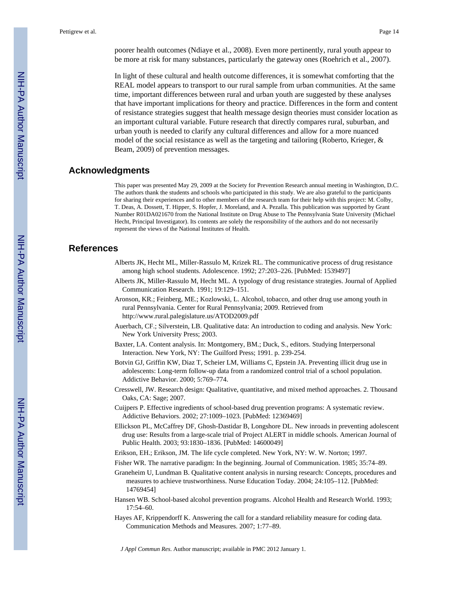poorer health outcomes (Ndiaye et al., 2008). Even more pertinently, rural youth appear to be more at risk for many substances, particularly the gateway ones (Roehrich et al., 2007).

In light of these cultural and health outcome differences, it is somewhat comforting that the REAL model appears to transport to our rural sample from urban communities. At the same time, important differences between rural and urban youth are suggested by these analyses that have important implications for theory and practice. Differences in the form and content of resistance strategies suggest that health message design theories must consider location as an important cultural variable. Future research that directly compares rural, suburban, and urban youth is needed to clarify any cultural differences and allow for a more nuanced model of the social resistance as well as the targeting and tailoring (Roberto, Krieger, & Beam, 2009) of prevention messages.

## **Acknowledgments**

This paper was presented May 29, 2009 at the Society for Prevention Research annual meeting in Washington, D.C. The authors thank the students and schools who participated in this study. We are also grateful to the participants for sharing their experiences and to other members of the research team for their help with this project: M. Colby, T. Deas, A. Dossett, T. Hipper, S. Hopfer, J. Moreland, and A. Pezalla. This publication was supported by Grant Number R01DA021670 from the National Institute on Drug Abuse to The Pennsylvania State University (Michael Hecht, Principal Investigator). Its contents are solely the responsibility of the authors and do not necessarily represent the views of the National Institutes of Health.

## **References**

- Alberts JK, Hecht ML, Miller-Rassulo M, Krizek RL. The communicative process of drug resistance among high school students. Adolescence. 1992; 27:203–226. [PubMed: 1539497]
- Alberts JK, Miller-Rassulo M, Hecht ML. A typology of drug resistance strategies. Journal of Applied Communication Research. 1991; 19:129–151.
- Aronson, KR.; Feinberg, ME.; Kozlowski, L. Alcohol, tobacco, and other drug use among youth in rural Pennsylvania. Center for Rural Pennsylvania; 2009. Retrieved from <http://www.rural.palegislature.us/ATOD2009.pdf>
- Auerbach, CF.; Silverstein, LB. Qualitative data: An introduction to coding and analysis. New York: New York University Press; 2003.
- Baxter, LA. Content analysis. In: Montgomery, BM.; Duck, S., editors. Studying Interpersonal Interaction. New York, NY: The Guilford Press; 1991. p. 239-254.
- Botvin GJ, Griffin KW, Diaz T, Scheier LM, Williams C, Epstein JA. Preventing illicit drug use in adolescents: Long-term follow-up data from a randomized control trial of a school population. Addictive Behavior. 2000; 5:769–774.
- Cresswell, JW. Research design: Qualitative, quantitative, and mixed method approaches. 2. Thousand Oaks, CA: Sage; 2007.
- Cuijpers P. Effective ingredients of school-based drug prevention programs: A systematic review. Addictive Behaviors. 2002; 27:1009–1023. [PubMed: 12369469]
- Ellickson PL, McCaffrey DF, Ghosh-Dastidar B, Longshore DL. New inroads in preventing adolescent drug use: Results from a large-scale trial of Project ALERT in middle schools. American Journal of Public Health. 2003; 93:1830–1836. [PubMed: 14600049]
- Erikson, EH.; Erikson, JM. The life cycle completed. New York, NY: W. W. Norton; 1997.
- Fisher WR. The narrative paradigm: In the beginning. Journal of Communication. 1985; 35:74–89.
- Graneheim U, Lundman B. Qualitative content analysis in nursing research: Concepts, procedures and measures to achieve trustworthiness. Nurse Education Today. 2004; 24:105–112. [PubMed: 14769454]
- Hansen WB. School-based alcohol prevention programs. Alcohol Health and Research World. 1993; 17:54–60.
- Hayes AF, Krippendorff K. Answering the call for a standard reliability measure for coding data. Communication Methods and Measures. 2007; 1:77–89.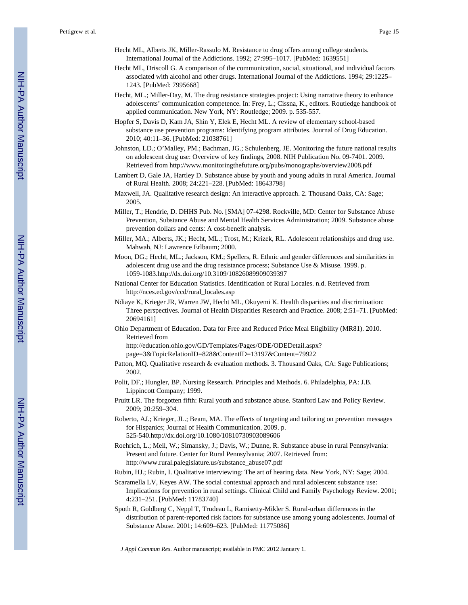- Hecht ML, Alberts JK, Miller-Rassulo M. Resistance to drug offers among college students. International Journal of the Addictions. 1992; 27:995–1017. [PubMed: 1639551]
- Hecht ML, Driscoll G. A comparison of the communication, social, situational, and individual factors associated with alcohol and other drugs. International Journal of the Addictions. 1994; 29:1225– 1243. [PubMed: 7995668]
- Hecht, ML.; Miller-Day, M. The drug resistance strategies project: Using narrative theory to enhance adolescents' communication competence. In: Frey, L.; Cissna, K., editors. Routledge handbook of applied communication. New York, NY: Routledge; 2009. p. 535-557.
- Hopfer S, Davis D, Kam JA, Shin Y, Elek E, Hecht ML. A review of elementary school-based substance use prevention programs: Identifying program attributes. Journal of Drug Education. 2010; 40:11–36. [PubMed: 21038761]
- Johnston, LD.; O'Malley, PM.; Bachman, JG.; Schulenberg, JE. Monitoring the future national results on adolescent drug use: Overview of key findings, 2008. NIH Publication No. 09-7401. 2009. Retrieved from <http://www.monitoringthefuture.org/pubs/monographs/overview2008.pdf>
- Lambert D, Gale JA, Hartley D. Substance abuse by youth and young adults in rural America. Journal of Rural Health. 2008; 24:221–228. [PubMed: 18643798]
- Maxwell, JA. Qualitative research design: An interactive approach. 2. Thousand Oaks, CA: Sage; 2005.
- Miller, T.; Hendrie, D. DHHS Pub. No. [SMA] 07-4298. Rockville, MD: Center for Substance Abuse Prevention, Substance Abuse and Mental Health Services Administration; 2009. Substance abuse prevention dollars and cents: A cost-benefit analysis.
- Miller, MA.; Alberts, JK.; Hecht, ML.; Trost, M.; Krizek, RL. Adolescent relationships and drug use. Mahwah, NJ: Lawrence Erlbaum; 2000.
- Moon, DG.; Hecht, ML.; Jackson, KM.; Spellers, R. Ethnic and gender differences and similarities in adolescent drug use and the drug resistance process; Substance Use & Misuse. 1999. p. 1059-1083[.http://dx.doi.org/10.3109/10826089909039397](http://dx.doi.org/10.3109/10826089909039397)
- National Center for Education Statistics. Identification of Rural Locales. n.d. Retrieved from [http://nces.ed.gov/ccd/rural\\_locales.asp](http://nces.ed.gov/ccd/rural_locales.asp)
- Ndiaye K, Krieger JR, Warren JW, Hecht ML, Okuyemi K. Health disparities and discrimination: Three perspectives. Journal of Health Disparities Research and Practice. 2008; 2:51–71. [PubMed: 20694161]
- Ohio Department of Education. Data for Free and Reduced Price Meal Eligibility (MR81). 2010. Retrieved from

[http://education.ohio.gov/GD/Templates/Pages/ODE/ODEDetail.aspx?](http://education.ohio.gov/GD/Templates/Pages/ODE/ODEDetail.aspx?page=3&TopicRelationID=828&ContentID=13197&Content=79922) [page=3&TopicRelationID=828&ContentID=13197&Content=79922](http://education.ohio.gov/GD/Templates/Pages/ODE/ODEDetail.aspx?page=3&TopicRelationID=828&ContentID=13197&Content=79922)

- Patton, MQ. Qualitative research & evaluation methods. 3. Thousand Oaks, CA: Sage Publications; 2002.
- Polit, DF.; Hungler, BP. Nursing Research. Principles and Methods. 6. Philadelphia, PA: J.B. Lippincott Company; 1999.
- Pruitt LR. The forgotten fifth: Rural youth and substance abuse. Stanford Law and Policy Review. 2009; 20:259–304.
- Roberto, AJ.; Krieger, JL.; Beam, MA. The effects of targeting and tailoring on prevention messages for Hispanics; Journal of Health Communication. 2009. p. 525-540[.http://dx.doi.org/10.1080/10810730903089606](http://dx.doi.org/10.1080/10810730903089606)
- Roehrich, L.; Meil, W.; Simansky, J.; Davis, W.; Dunne, R. Substance abuse in rural Pennsylvania: Present and future. Center for Rural Pennsylvania; 2007. Retrieved from: [http://www.rural.palegislature.us/substance\\_abuse07.pdf](http://www.rural.palegislature.us/substance_abuse07.pdf)
- Rubin, HJ.; Rubin, I. Qualitative interviewing: The art of hearing data. New York, NY: Sage; 2004.
- Scaramella LV, Keyes AW. The social contextual approach and rural adolescent substance use: Implications for prevention in rural settings. Clinical Child and Family Psychology Review. 2001; 4:231–251. [PubMed: 11783740]
- Spoth R, Goldberg C, Neppl T, Trudeau L, Ramisetty-Mikler S. Rural-urban differences in the distribution of parent-reported risk factors for substance use among young adolescents. Journal of Substance Abuse. 2001; 14:609–623. [PubMed: 11775086]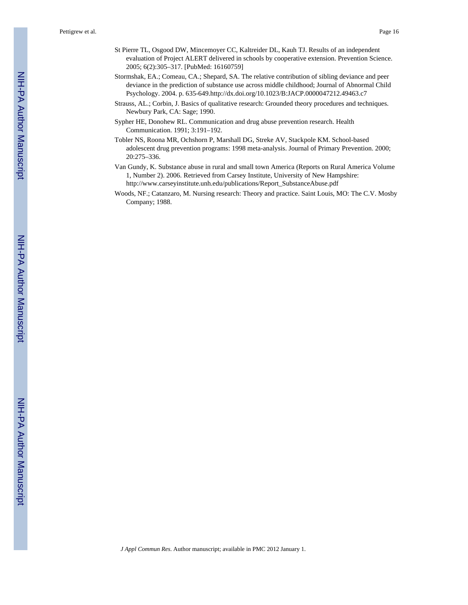- St Pierre TL, Osgood DW, Mincemoyer CC, Kaltreider DL, Kauh TJ. Results of an independent evaluation of Project ALERT delivered in schools by cooperative extension. Prevention Science. 2005; 6(2):305–317. [PubMed: 16160759]
- Stormshak, EA.; Comeau, CA.; Shepard, SA. The relative contribution of sibling deviance and peer deviance in the prediction of substance use across middle childhood; Journal of Abnormal Child Psychology. 2004. p. 635-649[.http://dx.doi.org/10.1023/B:JACP.0000047212.49463.c7](http://dx.doi.org/10.1023/B:JACP.0000047212.49463.c7)
- Strauss, AL.; Corbin, J. Basics of qualitative research: Grounded theory procedures and techniques. Newbury Park, CA: Sage; 1990.
- Sypher HE, Donohew RL. Communication and drug abuse prevention research. Health Communication. 1991; 3:191–192.
- Tobler NS, Roona MR, Ochshorn P, Marshall DG, Streke AV, Stackpole KM. School-based adolescent drug prevention programs: 1998 meta-analysis. Journal of Primary Prevention. 2000; 20:275–336.
- Van Gundy, K. Substance abuse in rural and small town America (Reports on Rural America Volume 1, Number 2). 2006. Retrieved from Carsey Institute, University of New Hampshire: [http://www.carseyinstitute.unh.edu/publications/Report\\_SubstanceAbuse.pdf](http://www.carseyinstitute.unh.edu/publications/Report_SubstanceAbuse.pdf)
- Woods, NF.; Catanzaro, M. Nursing research: Theory and practice. Saint Louis, MO: The C.V. Mosby Company; 1988.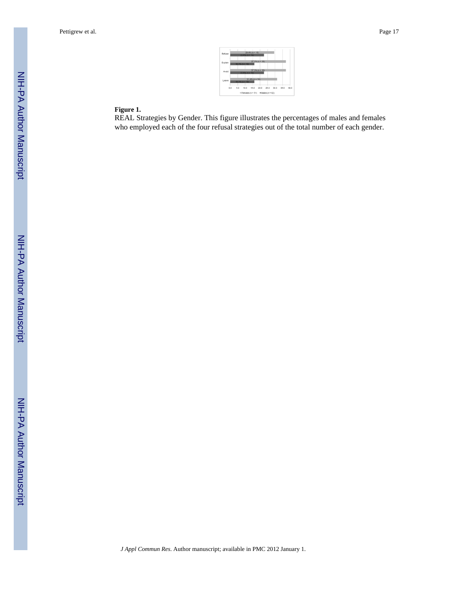

## **Figure 1.**

REAL Strategies by Gender. This figure illustrates the percentages of males and females who employed each of the four refusal strategies out of the total number of each gender.